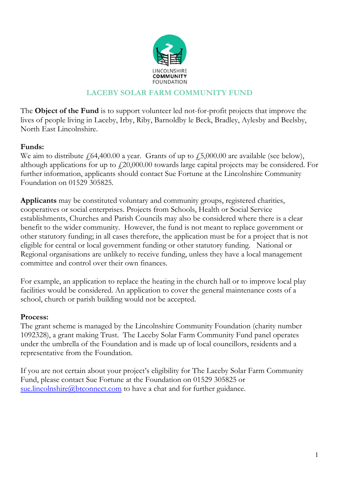

### **LACEBY SOLAR FARM COMMUNITY FUND**

The **Object of the Fund** is to support volunteer led not-for-profit projects that improve the lives of people living in Laceby, Irby, Riby, Barnoldby le Beck, Bradley, Aylesby and Beelsby, North East Lincolnshire.

### **Funds:**

We aim to distribute  $f(64,400.00 \text{ a year.}$  Grants of up to  $f(5,000.00 \text{ are available})$  (see below), although applications for up to  $\text{\textsterling}20,000.00$  towards large capital projects may be considered. For further information, applicants should contact Sue Fortune at the Lincolnshire Community Foundation on 01529 305825*.*

**Applicants** may be constituted voluntary and community groups, registered charities, cooperatives or social enterprises. Projects from Schools, Health or Social Service establishments, Churches and Parish Councils may also be considered where there is a clear benefit to the wider community. However, the fund is not meant to replace government or other statutory funding; in all cases therefore, the application must be for a project that is not eligible for central or local government funding or other statutory funding. National or Regional organisations are unlikely to receive funding, unless they have a local management committee and control over their own finances.

For example, an application to replace the heating in the church hall or to improve local play facilities would be considered. An application to cover the general maintenance costs of a school, church or parish building would not be accepted.

#### **Process:**

The grant scheme is managed by the Lincolnshire Community Foundation (charity number 1092328), a grant making Trust. The Laceby Solar Farm Community Fund panel operates under the umbrella of the Foundation and is made up of local councillors, residents and a representative from the Foundation.

If you are not certain about your project's eligibility for The Laceby Solar Farm Community Fund, please contact Sue Fortune at the Foundation on 01529 305825 or [sue.lincolnshire@btconnect.com](mailto:sue.lincolnshire@btconnect.com) to have a chat and for further guidance.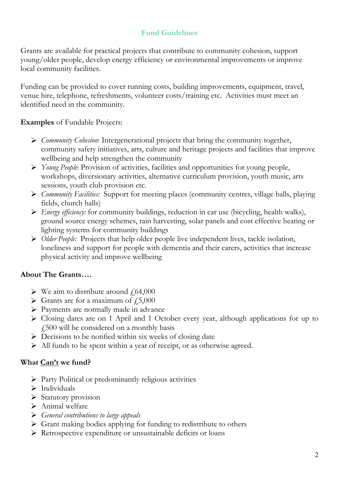## **Fund Guidelines**

Grants are available for practical projects that contribute to community cohesion, support young/older people, develop energy efficiency or environmental improvements or improve local community facilities.

Funding can be provided to cover running costs, building improvements, equipment, travel, venue hire, telephone, refreshments, volunteer costs/training etc. Activities must meet an identified need in the community.

**Examples** of Fundable Projects:

- *Community Cohesion*: Intergenerational projects that bring the community together, community safety initiatives, arts, culture and heritage projects and facilities that improve wellbeing and help strengthen the community
- *Young People*: Provision of activities, facilities and opportunities for young people, workshops, diversionary activities, alternative curriculum provision, youth music, arts sessions, youth club provision etc.
- *Community Facilities:* Support for meeting places (community centres, village halls, playing fields, church halls)
- *Energy efficiency:* for community buildings, reduction in car use (bicycling, health walks), ground source energy schemes, rain harvesting, solar panels and cost effective heating or lighting systems for community buildings
- *Older People:* Projects that help older people live independent lives, tackle isolation, loneliness and support for people with dementia and their carers, activities that increase physical activity and improve wellbeing

## **About The Grants….**

- $\triangleright$  We aim to distribute around  $\frac{1}{64,000}$
- $\triangleright$  Grants are for a maximum of  $\sqrt{25,000}$
- Payments are normally made in advance
- Closing dates are on 1 April and 1 October every year, although applications for up to £500 will be considered on a monthly basis
- $\triangleright$  Decisions to be notified within six weeks of closing date
- All funds to be spent within a year of receipt, or as otherwise agreed.

### **What Can't we fund?**

- Party Political or predominantly religious activities
- $\triangleright$  Individuals
- $\triangleright$  Statutory provision
- $\triangleright$  Animal welfare
- *General contributions to large appeals*
- Grant making bodies applying for funding to redistribute to others
- Retrospective expenditure or unsustainable deficits or loans